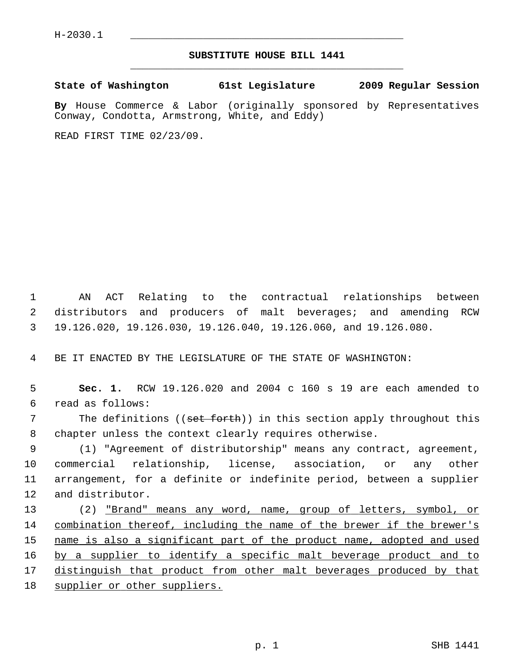## **SUBSTITUTE HOUSE BILL 1441** \_\_\_\_\_\_\_\_\_\_\_\_\_\_\_\_\_\_\_\_\_\_\_\_\_\_\_\_\_\_\_\_\_\_\_\_\_\_\_\_\_\_\_\_\_

**State of Washington 61st Legislature 2009 Regular Session**

**By** House Commerce & Labor (originally sponsored by Representatives Conway, Condotta, Armstrong, White, and Eddy)

READ FIRST TIME 02/23/09.

 1 AN ACT Relating to the contractual relationships between 2 distributors and producers of malt beverages; and amending RCW 3 19.126.020, 19.126.030, 19.126.040, 19.126.060, and 19.126.080.

4 BE IT ENACTED BY THE LEGISLATURE OF THE STATE OF WASHINGTON:

 5 **Sec. 1.** RCW 19.126.020 and 2004 c 160 s 19 are each amended to 6 read as follows:

7 The definitions ((set forth)) in this section apply throughout this 8 chapter unless the context clearly requires otherwise.

 9 (1) "Agreement of distributorship" means any contract, agreement, 10 commercial relationship, license, association, or any other 11 arrangement, for a definite or indefinite period, between a supplier 12 and distributor.

13 (2) "Brand" means any word, name, group of letters, symbol, or 14 combination thereof, including the name of the brewer if the brewer's 15 name is also a significant part of the product name, adopted and used 16 by a supplier to identify a specific malt beverage product and to 17 distinguish that product from other malt beverages produced by that 18 supplier or other suppliers.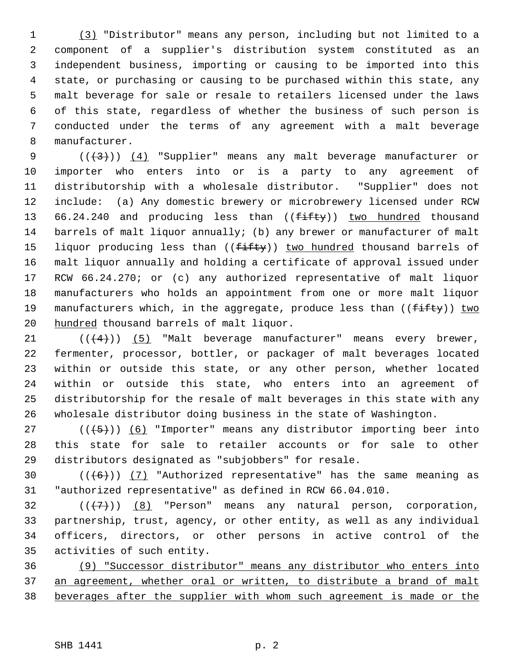1 (3) "Distributor" means any person, including but not limited to a 2 component of a supplier's distribution system constituted as an 3 independent business, importing or causing to be imported into this 4 state, or purchasing or causing to be purchased within this state, any 5 malt beverage for sale or resale to retailers licensed under the laws 6 of this state, regardless of whether the business of such person is 7 conducted under the terms of any agreement with a malt beverage 8 manufacturer.

9  $((+3))$   $(4)$  "Supplier" means any malt beverage manufacturer or 10 importer who enters into or is a party to any agreement of 11 distributorship with a wholesale distributor. "Supplier" does not 12 include: (a) Any domestic brewery or microbrewery licensed under RCW 13 66.24.240 and producing less than (( $f\text{-}ff\text{+}g$ )) two hundred thousand 14 barrels of malt liquor annually; (b) any brewer or manufacturer of malt 15 liquor producing less than ( $(f$ ifty)) two hundred thousand barrels of 16 malt liquor annually and holding a certificate of approval issued under 17 RCW 66.24.270; or (c) any authorized representative of malt liquor 18 manufacturers who holds an appointment from one or more malt liquor 19 manufacturers which, in the aggregate, produce less than  $((f\text{-}if\text{ty}))$  two 20 hundred thousand barrels of malt liquor.

21  $((+4))$  (5) "Malt beverage manufacturer" means every brewer, 22 fermenter, processor, bottler, or packager of malt beverages located 23 within or outside this state, or any other person, whether located 24 within or outside this state, who enters into an agreement of 25 distributorship for the resale of malt beverages in this state with any 26 wholesale distributor doing business in the state of Washington.

27 ( $(\frac{5}{6})$  (6) "Importer" means any distributor importing beer into 28 this state for sale to retailer accounts or for sale to other 29 distributors designated as "subjobbers" for resale.

30  $((+6))$  (7) "Authorized representative" has the same meaning as 31 "authorized representative" as defined in RCW 66.04.010.

32  $((+7)^{n})$  (8) "Person" means any natural person, corporation, 33 partnership, trust, agency, or other entity, as well as any individual 34 officers, directors, or other persons in active control of the 35 activities of such entity.

36 (9) "Successor distributor" means any distributor who enters into 37 an agreement, whether oral or written, to distribute a brand of malt 38 beverages after the supplier with whom such agreement is made or the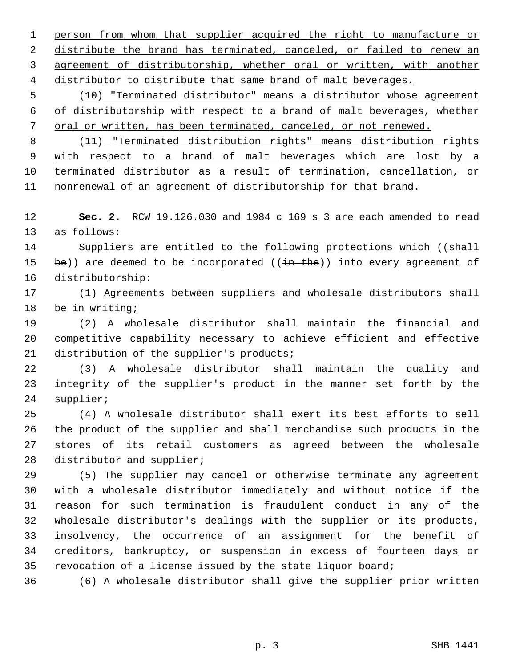person from whom that supplier acquired the right to manufacture or distribute the brand has terminated, canceled, or failed to renew an agreement of distributorship, whether oral or written, with another distributor to distribute that same brand of malt beverages.

 5 (10) "Terminated distributor" means a distributor whose agreement 6 of distributorship with respect to a brand of malt beverages, whether 7 oral or written, has been terminated, canceled, or not renewed.

 (11) "Terminated distribution rights" means distribution rights with respect to a brand of malt beverages which are lost by a terminated distributor as a result of termination, cancellation, or nonrenewal of an agreement of distributorship for that brand.

12 **Sec. 2.** RCW 19.126.030 and 1984 c 169 s 3 are each amended to read 13 as follows:

14 Suppliers are entitled to the following protections which ((shall 15 be)) are deemed to be incorporated  $((\frac{in}{in}$  the)) into every agreement of 16 distributorship:

17 (1) Agreements between suppliers and wholesale distributors shall 18 be in writing;

19 (2) A wholesale distributor shall maintain the financial and 20 competitive capability necessary to achieve efficient and effective 21 distribution of the supplier's products;

22 (3) A wholesale distributor shall maintain the quality and 23 integrity of the supplier's product in the manner set forth by the 24 supplier;

25 (4) A wholesale distributor shall exert its best efforts to sell 26 the product of the supplier and shall merchandise such products in the 27 stores of its retail customers as agreed between the wholesale 28 distributor and supplier;

29 (5) The supplier may cancel or otherwise terminate any agreement 30 with a wholesale distributor immediately and without notice if the 31 reason for such termination is fraudulent conduct in any of the 32 wholesale distributor's dealings with the supplier or its products, 33 insolvency, the occurrence of an assignment for the benefit of 34 creditors, bankruptcy, or suspension in excess of fourteen days or 35 revocation of a license issued by the state liquor board;

36 (6) A wholesale distributor shall give the supplier prior written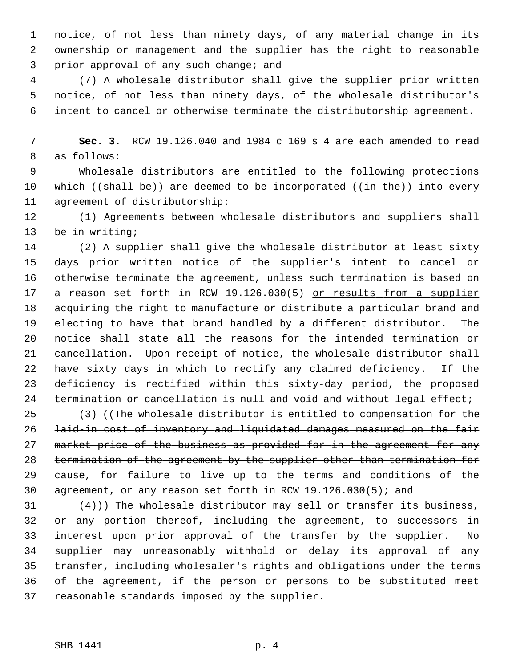1 notice, of not less than ninety days, of any material change in its 2 ownership or management and the supplier has the right to reasonable 3 prior approval of any such change; and

 4 (7) A wholesale distributor shall give the supplier prior written 5 notice, of not less than ninety days, of the wholesale distributor's 6 intent to cancel or otherwise terminate the distributorship agreement.

 7 **Sec. 3.** RCW 19.126.040 and 1984 c 169 s 4 are each amended to read 8 as follows:

 9 Wholesale distributors are entitled to the following protections 10 which  $((\text{shell} \text{ be}))$  are deemed to be incorporated  $((\text{in the}))$  into every 11 agreement of distributorship:

12 (1) Agreements between wholesale distributors and suppliers shall 13 be in writing;

14 (2) A supplier shall give the wholesale distributor at least sixty 15 days prior written notice of the supplier's intent to cancel or 16 otherwise terminate the agreement, unless such termination is based on 17 a reason set forth in RCW 19.126.030(5) or results from a supplier 18 acquiring the right to manufacture or distribute a particular brand and 19 electing to have that brand handled by a different distributor. The 20 notice shall state all the reasons for the intended termination or 21 cancellation. Upon receipt of notice, the wholesale distributor shall 22 have sixty days in which to rectify any claimed deficiency. If the 23 deficiency is rectified within this sixty-day period, the proposed 24 termination or cancellation is null and void and without legal effect;

25 (3) ((The wholesale distributor is entitled to compensation for the 26 laid-in cost of inventory and liquidated damages measured on the fair 27 market price of the business as provided for in the agreement for any 28 termination of the agreement by the supplier other than termination for 29 cause, for failure to live up to the terms and conditions of the 30 agreement, or any reason set forth in RCW  $19.126.030(5)$ ; and

31  $(4)$ )) The wholesale distributor may sell or transfer its business, 32 or any portion thereof, including the agreement, to successors in 33 interest upon prior approval of the transfer by the supplier. No 34 supplier may unreasonably withhold or delay its approval of any 35 transfer, including wholesaler's rights and obligations under the terms 36 of the agreement, if the person or persons to be substituted meet 37 reasonable standards imposed by the supplier.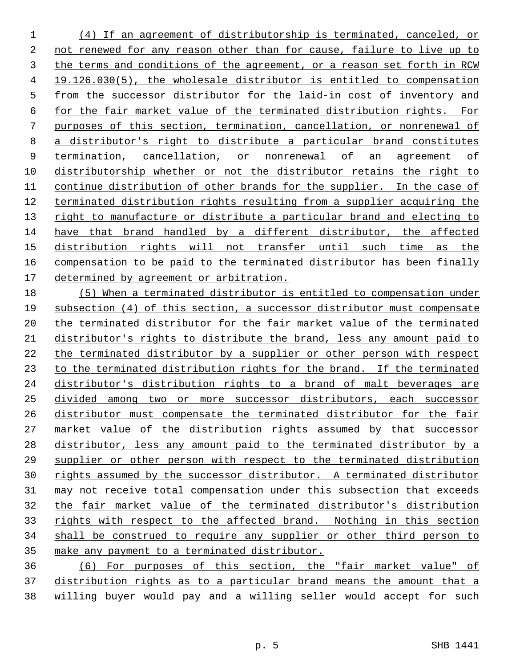(4) If an agreement of distributorship is terminated, canceled, or not renewed for any reason other than for cause, failure to live up to the terms and conditions of the agreement, or a reason set forth in RCW 19.126.030(5), the wholesale distributor is entitled to compensation from the successor distributor for the laid-in cost of inventory and for the fair market value of the terminated distribution rights. For purposes of this section, termination, cancellation, or nonrenewal of a distributor's right to distribute a particular brand constitutes termination, cancellation, or nonrenewal of an agreement of distributorship whether or not the distributor retains the right to continue distribution of other brands for the supplier. In the case of terminated distribution rights resulting from a supplier acquiring the right to manufacture or distribute a particular brand and electing to have that brand handled by a different distributor, the affected distribution rights will not transfer until such time as the compensation to be paid to the terminated distributor has been finally determined by agreement or arbitration.

 (5) When a terminated distributor is entitled to compensation under subsection (4) of this section, a successor distributor must compensate the terminated distributor for the fair market value of the terminated distributor's rights to distribute the brand, less any amount paid to the terminated distributor by a supplier or other person with respect 23 to the terminated distribution rights for the brand. If the terminated distributor's distribution rights to a brand of malt beverages are divided among two or more successor distributors, each successor distributor must compensate the terminated distributor for the fair market value of the distribution rights assumed by that successor distributor, less any amount paid to the terminated distributor by a supplier or other person with respect to the terminated distribution rights assumed by the successor distributor. A terminated distributor may not receive total compensation under this subsection that exceeds the fair market value of the terminated distributor's distribution 33 rights with respect to the affected brand. Nothing in this section shall be construed to require any supplier or other third person to make any payment to a terminated distributor.

 (6) For purposes of this section, the "fair market value" of distribution rights as to a particular brand means the amount that a willing buyer would pay and a willing seller would accept for such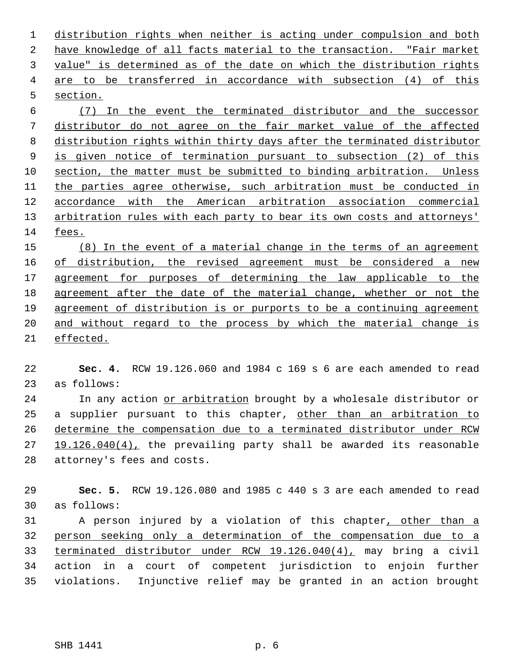distribution rights when neither is acting under compulsion and both have knowledge of all facts material to the transaction. "Fair market value" is determined as of the date on which the distribution rights are to be transferred in accordance with subsection (4) of this section.

 (7) In the event the terminated distributor and the successor distributor do not agree on the fair market value of the affected distribution rights within thirty days after the terminated distributor is given notice of termination pursuant to subsection (2) of this section, the matter must be submitted to binding arbitration. Unless the parties agree otherwise, such arbitration must be conducted in accordance with the American arbitration association commercial arbitration rules with each party to bear its own costs and attorneys' fees.

 (8) In the event of a material change in the terms of an agreement of distribution, the revised agreement must be considered a new agreement for purposes of determining the law applicable to the agreement after the date of the material change, whether or not the agreement of distribution is or purports to be a continuing agreement and without regard to the process by which the material change is effected.

 **Sec. 4.** RCW 19.126.060 and 1984 c 169 s 6 are each amended to read 23 as follows:

24 In any action or arbitration brought by a wholesale distributor or 25 a supplier pursuant to this chapter, other than an arbitration to determine the compensation due to a terminated distributor under RCW 19.126.040(4), the prevailing party shall be awarded its reasonable 28 attorney's fees and costs.

 **Sec. 5.** RCW 19.126.080 and 1985 c 440 s 3 are each amended to read 30 as follows:

31 A person injured by a violation of this chapter, other than a person seeking only a determination of the compensation due to a terminated distributor under RCW 19.126.040(4), may bring a civil 34 action in a court of competent jurisdiction to enjoin further 35 violations. Injunctive relief may be granted in an action brought